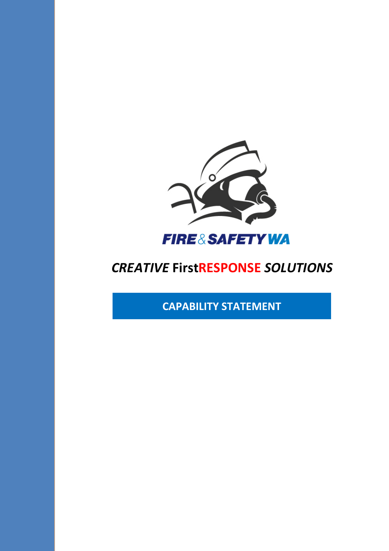

# **CREATIVE FirstRESPONSE SOLUTIONS**

**CAPABILITY STATEMENT**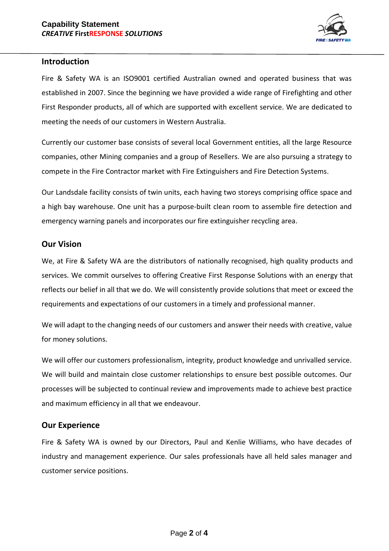

## **Introduction**

Fire & Safety WA is an ISO9001 certified Australian owned and operated business that was established in 2007. Since the beginning we have provided a wide range of Firefighting and other First Responder products, all of which are supported with excellent service. We are dedicated to meeting the needs of our customers in Western Australia.

Currently our customer base consists of several local Government entities, all the large Resource companies, other Mining companies and a group of Resellers. We are also pursuing a strategy to compete in the Fire Contractor market with Fire Extinguishers and Fire Detection Systems.

Our Landsdale facility consists of twin units, each having two storeys comprising office space and a high bay warehouse. One unit has a purpose-built clean room to assemble fire detection and emergency warning panels and incorporates our fire extinguisher recycling area.

# **Our Vision**

We, at Fire & Safety WA are the distributors of nationally recognised, high quality products and services. We commit ourselves to offering Creative First Response Solutions with an energy that reflects our belief in all that we do. We will consistently provide solutions that meet or exceed the requirements and expectations of our customers in a timely and professional manner.

We will adapt to the changing needs of our customers and answer their needs with creative, value for money solutions.

We will offer our customers professionalism, integrity, product knowledge and unrivalled service. We will build and maintain close customer relationships to ensure best possible outcomes. Our processes will be subjected to continual review and improvements made to achieve best practice and maximum efficiency in all that we endeavour.

# **Our Experience**

Fire & Safety WA is owned by our Directors, Paul and Kenlie Williams, who have decades of industry and management experience. Our sales professionals have all held sales manager and customer service positions.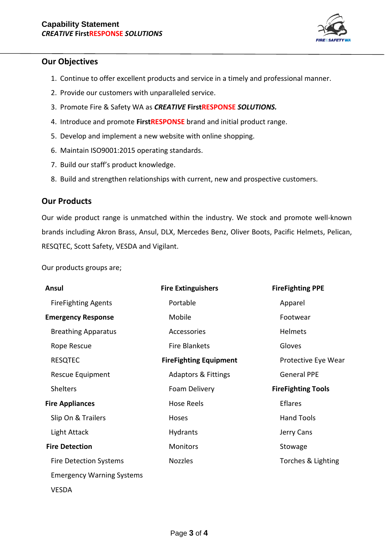

# **Our Objectives**

- 1. Continue to offer excellent products and service in a timely and professional manner.
- 2. Provide our customers with unparalleled service.
- 3. Promote Fire & Safety WA as *CREATIVE* **FirstRESPONSE** *SOLUTIONS.*
- 4. Introduce and promote **FirstRESPONSE** brand and initial product range.
- 5. Develop and implement a new website with online shopping.
- 6. Maintain ISO9001:2015 operating standards.
- 7. Build our staff's product knowledge.
- 8. Build and strengthen relationships with current, new and prospective customers.

# **Our Products**

Our wide product range is unmatched within the industry. We stock and promote well-known brands including Akron Brass, Ansul, DLX, Mercedes Benz, Oliver Boots, Pacific Helmets, Pelican, RESQTEC, Scott Safety, VESDA and Vigilant.

Our products groups are;

| Ansul                            | <b>Fire Extinguishers</b>      | <b>FireFighting PPE</b>   |
|----------------------------------|--------------------------------|---------------------------|
| <b>FireFighting Agents</b>       | Portable                       | Apparel                   |
| <b>Emergency Response</b>        | Mobile                         | Footwear                  |
| <b>Breathing Apparatus</b>       | Accessories                    | Helmets                   |
| Rope Rescue                      | <b>Fire Blankets</b>           | Gloves                    |
| <b>RESQTEC</b>                   | <b>FireFighting Equipment</b>  | Protective Eye Wear       |
| Rescue Equipment                 | <b>Adaptors &amp; Fittings</b> | <b>General PPE</b>        |
| <b>Shelters</b>                  | Foam Delivery                  | <b>FireFighting Tools</b> |
| <b>Fire Appliances</b>           | <b>Hose Reels</b>              | <b>Eflares</b>            |
| Slip On & Trailers               | Hoses                          | <b>Hand Tools</b>         |
| Light Attack                     | <b>Hydrants</b>                | Jerry Cans                |
| <b>Fire Detection</b>            | Monitors                       | Stowage                   |
| <b>Fire Detection Systems</b>    | <b>Nozzles</b>                 | Torches & Lighting        |
| <b>Emergency Warning Systems</b> |                                |                           |
| VESDA                            |                                |                           |